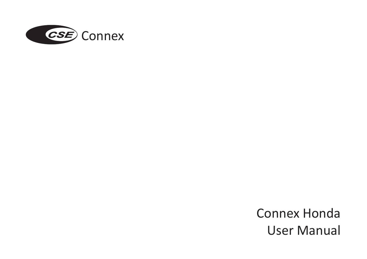

Connex Honda User Manual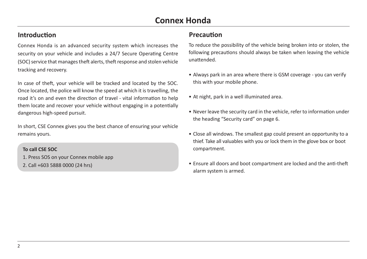### **Introduction**

Connex Honda is an advanced security system which increases the security on your vehicle and includes a 24/7 Secure Operating Centre (SOC) service that manages theft alerts, theft response and stolen vehicle tracking and recovery.

In case of theft, your vehicle will be tracked and located by the SOC. Once located, the police will know the speed at which it is travelling, the road it's on and even the direction of travel - vital information to help them locate and recover your vehicle without engaging in a potentially dangerous high-speed pursuit.

In short, CSE Connex gives you the best chance of ensuring your vehicle remains yours.

#### **To call CSE SOC**

- 1. Press SOS on your Connex mobile app
- 2. Call +603 5888 0000 (24 hrs)

### **Precaution**

To reduce the possibility of the vehicle being broken into or stolen, the following precautions should always be taken when leaving the vehicle unattended.

- Always park in an area where there is GSM coverage you can verify this with your mobile phone.
- At night, park in a well illuminated area.
- Never leave the security card in the vehicle, refer to information under the heading "Security card" on page 6.
- Close all windows. The smallest gap could present an opportunity to a thief. Take all valuables with you or lock them in the glove box or boot compartment.
- Ensure all doors and boot compartment are locked and the anti-theft alarm system is armed.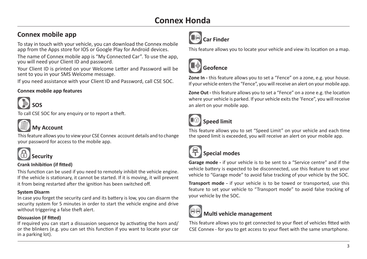# **Connex mobile app**<br> **Car Finder**

To stay in touch with your vehicle, you can download the Connex mobile app from the Apps store for IOS or Google Play for Android devices.

The name of Connex mobile app is "My Connected Car". To use the app, you will need your Client ID and password.

Your Client ID is printed on your Welcome Letter and Password will be sent to you in your SMS Welcome message.

If you need assistance with your Client ID and Password, call CSE SOC.

#### **Connex mobile app features**



To call CSE SOC for any enquiry or to report a theft.



#### **My Account**

This feature allows you to view your CSE Connex account details and to change your password for access to the mobile app.



# **Security**

#### **Crank Inhibition (if fitted)**

This function can be used if you need to remotely inhibit the vehicle engine. If the vehicle is stationary, it cannot be started. If it is moving, it will prevent it from being restarted after the ignition has been switched off.

#### **System Disarm**

In case you forget the security card and its battery is low, you can disarm the security system for 5 minutes in order to start the vehicle engine and drive without triggering a false theft alert.

#### **Dissuasion (if fitted)**

If required you can start a dissuasion sequence by activating the horn and/ or the blinkers (e.g. you can set this function if you want to locate your car in a parking lot).



This feature allows you to locate your vehicle and view its location on a map.



# **Geofence**

**Zone In -** this feature allows you to set a "Fence" on a zone, e.g. your house. If your vehicle enters the "Fence", you will receive an alert on your mobile app.

**Zone Out -** this feature allows you to set a "Fence" on a zone e.g. the location where your vehicle is parked. If your vehicle exits the 'Fence", you will receive an alert on your mobile app.



# **Speed limit**

This feature allows you to set "Speed Limit" on your vehicle and each time the speed limit is exceeded, you will receive an alert on your mobile app.



# **Special modes**

**Garage mode -** if your vehicle is to be sent to a "Service centre" and if the vehicle battery is expected to be disconnected, use this feature to set your vehicle to "Garage mode" to avoid false tracking of your vehicle by the SOC.

**Transport mode -** if your vehicle is to be towed or transported, use this feature to set your vehicle to "Transport mode" to avoid false tracking of your vehicle by the SOC.



### **Multi vehicle management**

This feature allows you to get connected to your fleet of vehicles fitted with CSE Connex - for you to get access to your fleet with the same smartphone.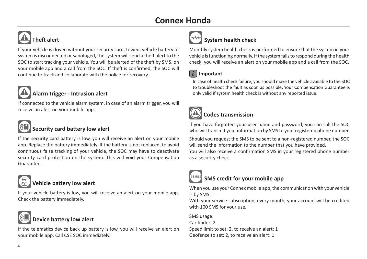# **Connex Honda**



# **Theft alert**

If your vehicle is driven without your security card, towed, vehicle battery or system is disconnected or sabotaged, the system will send a theft alert to the SOC to start tracking your vehicle. You will be alerted of the theft by SMS, on your mobile app and a call from the SOC. If theft is confirmed, the SOC will continue to track and collaborate with the police for recovery



### **Alarm trigger - Intrusion alert**

If connected to the vehicle alarm system, in case of an alarm trigger, you will receive an alert on your mobile app.



### **Security card battery low alert**

If the security card battery is low, you will receive an alert on your mobile app. Replace the battery immediately. If the battery is not replaced, to avoid continuous false tracking of your vehicle, the SOC may have to deactivate security card protection on the system. This will void your Compensation Guarantee.



### **Vehicle battery low alert**

If your vehicle battery is low, you will receive an alert on your mobile app. Check the battery immediately.

# **Device battery low alert**

If the telematics device back up battery is low, you will receive an alert on your mobile app. Call CSE SOC immediately.

# **System health check**

Monthly system health check is performed to ensure that the system in your vehicle is functioning normally. If the system fails to respond during the health check, you will receive an alert on your mobile app and a call from the SOC.

### *i* **Important**

In case of health check failure, you should make the vehicle available to the SOC to troubleshoot the fault as soon as possible. Your Compensation Guarantee is only valid if system health check is without any reported issue.

# **Codes transmission**

If you have forgotten your user name and password, you can call the SOC who will transmit your information by SMS to your registered phone number.

Should you request the SMS to be sent to a non-registered number, the SOC will send the information to the number that you have provided. You will also receive a confirmation SMS in your registered phone number



as a security check.

## **SMS credit for your mobile app**

When you use your Connex mobile app, the communication with your vehicle is by SMS.

With your service subscription, every month, your account will be credited with 100 SMS for your use.

SMS usage: Car finder: 2 Speed limit to set: 2, to receive an alert: 1 Geofence to set: 2, to receive an alert: 1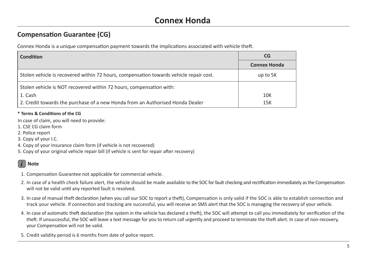## **Compensation Guarantee (CG)**

Connex Honda is a unique compensation payment towards the implications associated with vehicle theft.

| Condition                                                                              | <b>CG</b>           |
|----------------------------------------------------------------------------------------|---------------------|
|                                                                                        | <b>Connex Honda</b> |
| Stolen vehicle is recovered within 72 hours, compensation towards vehicle repair cost. | up to 5K            |
| Stolen vehicle is NOT recovered within 72 hours, compensation with:                    |                     |
| 1. Cash                                                                                | 10K                 |
| 2. Credit towards the purchase of a new Honda from an Authorised Honda Dealer          | 15K                 |

#### **\* Terms & Conditions of the CG**

In case of claim, you will need to provide:

- 1. CSE CG claim form
- 2. Police report
- 3. Copy of your I.C.
- 4. Copy of your Insurance claim form (if vehicle is not recovered)
- 5. Copy of your original vehicle repair bill (if vehicle is sent for repair after recovery)

### *i* **Note**

- 1. Compensation Guarantee not applicable for commercial vehicle.
- 2. In case of a health check failure alert, the vehicle should be made available to the SOC for fault checking and rectification immediately as the Compensation will not be valid until any reported fault is resolved.
- 3. In case of manual theft declaration (when you call our SOC to report a theft), Compensation is only valid if the SOC is able to establish connection and track your vehicle. If connection and tracking are successful, you will receive an SMS alert that the SOC is managing the recovery of your vehicle.
- 4. In case of automatic theft declaration (the system in the vehicle has declared a theft), the SOC will attempt to call you immediately for verification of the theft. If unsuccessful, the SOC will leave a text message for you to return call urgently and proceed to terminate the theft alert. In case of non-recovery, your Compensation will not be valid.
- 5. Credit validity period is 6 months from date of police report.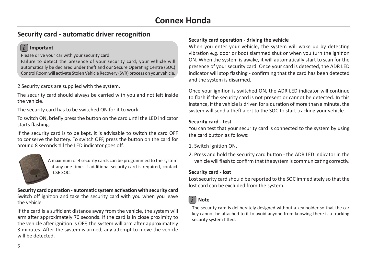# **Connex Honda**

## **Security card - automatic driver recognition**

#### *i* **Important**

Please drive your car with your security card.

Failure to detect the presence of your security card, your vehicle will automatically be declared under theft and our Secure Operating Centre (SOC) Control Room will activate Stolen Vehicle Recovery (SVR) process on your vehicle.

2 Security cards are supplied with the system.

The security card should always be carried with you and not left inside the vehicle.

The security card has to be switched ON for it to work.

To switch ON, briefly press the button on the card until the LED indicator starts flashing.

If the security card is to be kept, it is advisable to switch the card OFF to conserve the battery. To switch OFF, press the button on the card for around 8 seconds till the LED indicator goes off.



A maximum of 4 security cards can be programmed to the system at any one time. If additional security card is required, contact CSE SOC.

**Security card operation - automatic system activation with security card** Switch off ignition and take the security card with you when you leave the vehicle.

If the card is a sufficient distance away from the vehicle, the system will arm after approximately 70 seconds. If the card is in close proximity to the vehicle after ignition is OFF, the system will arm after approximately 3 minutes. After the system is armed, any attempt to move the vehicle will be detected.

#### **Security card operation - driving the vehicle**

When you enter your vehicle, the system will wake up by detecting vibration e.g. door or boot slammed shut or when you turn the ignition ON. When the system is awake, it will automatically start to scan for the presence of your security card. Once your card is detected, the ADR LED indicator will stop flashing - confirming that the card has been detected and the system is disarmed.

Once your ignition is switched ON, the ADR LED indicator will continue to flash if the security card is not present or cannot be detected. In this instance, if the vehicle is driven for a duration of more than a minute, the system will send a theft alert to the SOC to start tracking your vehicle.

#### **Security card - test**

You can test that your security card is connected to the system by using the card button as follows:

- 1. Switch ignition ON.
- 2. Press and hold the security card button the ADR LED indicator in the vehicle will flash to confirm that the system is communicating correctly.

#### **Security card - lost**

Lost security card should be reported to the SOC immediately so that the lost card can be excluded from the system.

### *i* **Note**

The security card is deliberately designed without a key holder so that the car key cannot be attached to it to avoid anyone from knowing there is a tracking security system fitted.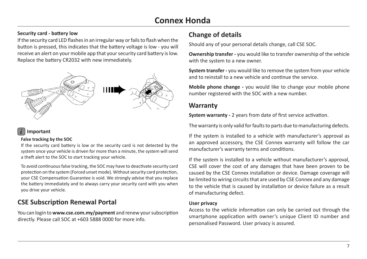# **Connex Honda**

#### **Change of details Security card - battery low**

If the security card LED flashes in an irregular way or fails to flash when the button is pressed, this indicates that the battery voltage is low - you will receive an alert on your mobile app that your security card battery is low. Replace the battery CR2032 with new immediately.



### *i* **Important**

#### **False tracking by the SOC**

If the security card battery is low or the security card is not detected by the system once your vehicle is driven for more than a minute, the system will send a theft alert to the SOC to start tracking your vehicle.

To avoid continuous false tracking, the SOC may have to deactivate security card protection on the system (Forced unset mode). Without security card protection, your CSE Compensation Guarantee is void. We strongly advise that you replace the battery immediately and to always carry your security card with you when you drive your vehicle.

# **CSE Subscription Renewal Portal**

You can login to **www.cse.com.my/payment** and renew your subscription directly. Please call SOC at +603 5888 0000 for more info.

Should any of your personal details change, call CSE SOC.

**Ownership transfer -** you would like to transfer ownership of the vehicle with the system to a new owner.

**System transfer -** you would like to remove the system from your vehicle and to reinstall to a new vehicle and continue the service.

**Mobile phone change -** you would like to change your mobile phone number registered with the SOC with a new number.

### **Warranty**

**System warranty -** 2 years from date of first service activation.

The warranty is only valid for faults to parts due to manufacturing defects.

If the system is installed to a vehicle with manufacturer's approval as an approved accessory, the CSE Connex warranty will follow the car manufacturer's warranty terms and conditions.

If the system is installed to a vehicle without manufacturer's approval, CSE will cover the cost of any damages that have been proven to be caused by the CSE Connex installation or device. Damage coverage will be limited to wiring circuits that are used by CSE Connex and any damage to the vehicle that is caused by installation or device failure as a result of manufacturing defect.

#### **User privacy**

Access to the vehicle information can only be carried out through the smartphone application with owner's unique Client ID number and personalised Password. User privacy is assured.